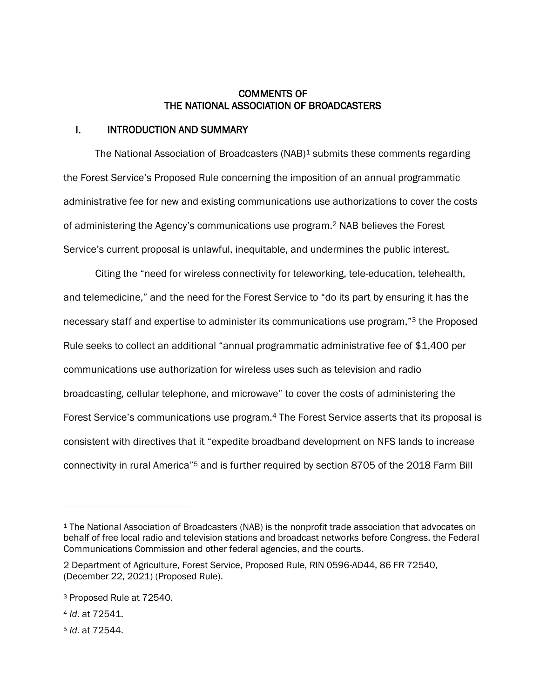### COMMENTS OF THE NATIONAL ASSOCIATION OF BROADCASTERS

### I. INTRODUCTION AND SUMMARY

The National Association of Broadcasters (NAB)<sup>1</sup> submits these comments regarding the Forest Service's Proposed Rule concerning the imposition of an annual programmatic administrative fee for new and existing communications use authorizations to cover the costs of administering the Agency's communications use program. <sup>2</sup> NAB believes the Forest Service's current proposal is unlawful, inequitable, and undermines the public interest.

Citing the "need for wireless connectivity for teleworking, tele-education, telehealth, and telemedicine," and the need for the Forest Service to "do its part by ensuring it has the necessary staff and expertise to administer its communications use program,"<sup>3</sup> the Proposed Rule seeks to collect an additional "annual programmatic administrative fee of \$1,400 per communications use authorization for wireless uses such as television and radio broadcasting, cellular telephone, and microwave" to cover the costs of administering the Forest Service's communications use program.<sup>4</sup> The Forest Service asserts that its proposal is consistent with directives that it "expedite broadband development on NFS lands to increase connectivity in rural America"<sup>5</sup> and is further required by section 8705 of the 2018 Farm Bill

<sup>1</sup> The National Association of Broadcasters (NAB) is the nonprofit trade association that advocates on behalf of free local radio and television stations and broadcast networks before Congress, the Federal Communications Commission and other federal agencies, and the courts.

<sup>2</sup> Department of Agriculture, Forest Service, Proposed Rule, RIN 0596-AD44, 86 FR 72540, (December 22, 2021) (Proposed Rule).

<sup>3</sup> Proposed Rule at 72540.

<sup>4</sup> *Id*. at 72541.

<sup>5</sup> *Id*. at 72544.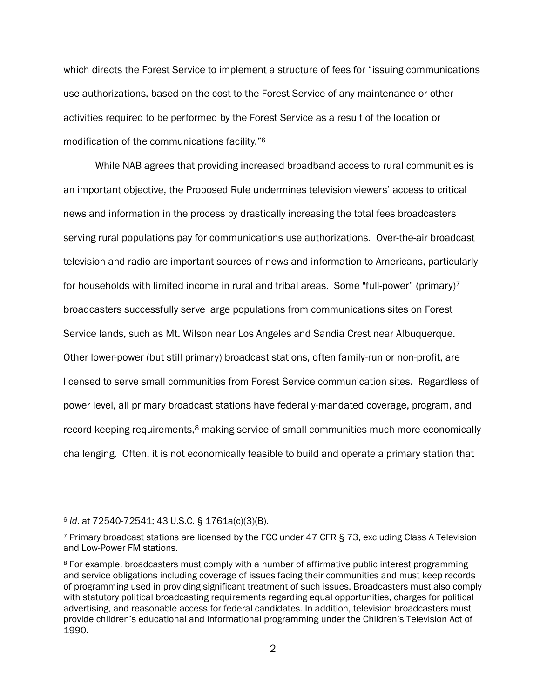which directs the Forest Service to implement a structure of fees for "issuing communications use authorizations, based on the cost to the Forest Service of any maintenance or other activities required to be performed by the Forest Service as a result of the location or modification of the communications facility."<sup>6</sup>

While NAB agrees that providing increased broadband access to rural communities is an important objective, the Proposed Rule undermines television viewers' access to critical news and information in the process by drastically increasing the total fees broadcasters serving rural populations pay for communications use authorizations. Over-the-air broadcast television and radio are important sources of news and information to Americans, particularly for households with limited income in rural and tribal areas. Some "full-power" (primary)<sup>7</sup> broadcasters successfully serve large populations from communications sites on Forest Service lands, such as Mt. Wilson near Los Angeles and Sandia Crest near Albuquerque. Other lower-power (but still primary) broadcast stations, often family-run or non-profit, are licensed to serve small communities from Forest Service communication sites. Regardless of power level, all primary broadcast stations have federally-mandated coverage, program, and record-keeping requirements,<sup>8</sup> making service of small communities much more economically challenging. Often, it is not economically feasible to build and operate a primary station that

<sup>6</sup> *Id*. at 72540-72541; 43 U.S.C. § 1761a(c)(3)(B).

<sup>7</sup> Primary broadcast stations are licensed by the FCC under 47 CFR § 73, excluding Class A Television and Low-Power FM stations.

<sup>8</sup> For example, broadcasters must comply with a number of affirmative public interest programming and service obligations including coverage of issues facing their communities and must keep records of programming used in providing significant treatment of such issues. Broadcasters must also comply with statutory political broadcasting requirements regarding equal opportunities, charges for political advertising, and reasonable access for federal candidates. In addition, television broadcasters must provide children's educational and informational programming under the Children's Television Act of 1990.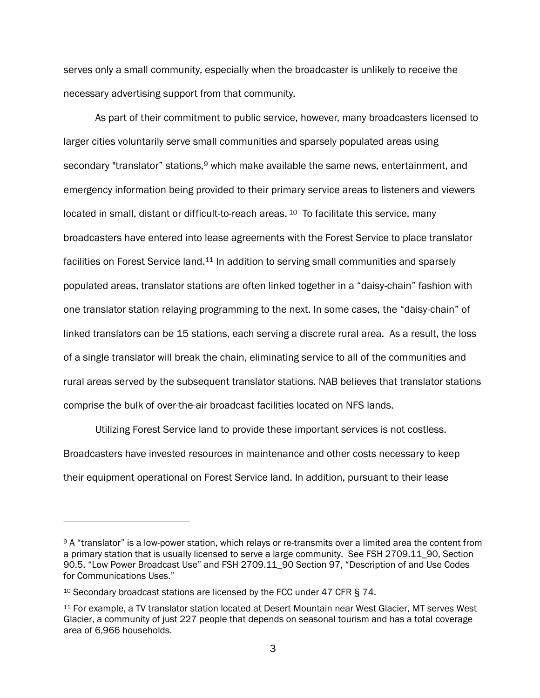serves only a small community, especially when the broadcaster is unlikely to receive the necessary advertising support from that community.

As part of their commitment to public service, however, many broadcasters licensed to larger cities voluntarily serve small communities and sparsely populated areas using secondary "translator" stations,<sup>9</sup> which make available the same news, entertainment, and emergency information being provided to their primary service areas to listeners and viewers located in small, distant or difficult-to-reach areas. <sup>10</sup> To facilitate this service, many broadcasters have entered into lease agreements with the Forest Service to place translator facilities on Forest Service land.<sup>11</sup> In addition to serving small communities and sparsely populated areas, translator stations are often linked together in a "daisy-chain" fashion with one translator station relaying programming to the next. In some cases, the "daisy-chain" of linked translators can be 15 stations, each serving a discrete rural area. As a result, the loss of a single translator will break the chain, eliminating service to all of the communities and rural areas served by the subsequent translator stations. NAB believes that translator stations comprise the bulk of over-the-air broadcast facilities located on NFS lands.

Utilizing Forest Service land to provide these important services is not costless. Broadcasters have invested resources in maintenance and other costs necessary to keep their equipment operational on Forest Service land. In addition, pursuant to their lease

<sup>9</sup> A "translator" is a low-power station, which relays or re-transmits over a limited area the content from a primary station that is usually licensed to serve a large community. See FSH 2709.11\_90, Section 90.5, "Low Power Broadcast Use" and FSH 2709.11\_90 Section 97, "Description of and Use Codes for Communications Uses."

<sup>10</sup> Secondary broadcast stations are licensed by the FCC under 47 CFR § 74.

<sup>11</sup> For example, a TV translator station located at Desert Mountain near West Glacier, MT serves West Glacier, a community of just 227 people that depends on seasonal tourism and has a total coverage area of 6,966 households.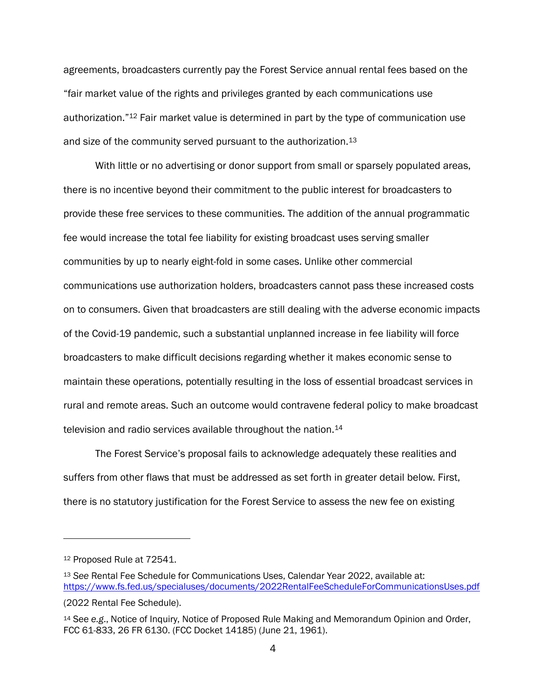agreements, broadcasters currently pay the Forest Service annual rental fees based on the "fair market value of the rights and privileges granted by each communications use authorization."<sup>12</sup> Fair market value is determined in part by the type of communication use and size of the community served pursuant to the authorization.<sup>13</sup>

With little or no advertising or donor support from small or sparsely populated areas, there is no incentive beyond their commitment to the public interest for broadcasters to provide these free services to these communities. The addition of the annual programmatic fee would increase the total fee liability for existing broadcast uses serving smaller communities by up to nearly eight-fold in some cases. Unlike other commercial communications use authorization holders, broadcasters cannot pass these increased costs on to consumers. Given that broadcasters are still dealing with the adverse economic impacts of the Covid-19 pandemic, such a substantial unplanned increase in fee liability will force broadcasters to make difficult decisions regarding whether it makes economic sense to maintain these operations, potentially resulting in the loss of essential broadcast services in rural and remote areas. Such an outcome would contravene federal policy to make broadcast television and radio services available throughout the nation.<sup>14</sup>

The Forest Service's proposal fails to acknowledge adequately these realities and suffers from other flaws that must be addressed as set forth in greater detail below. First, there is no statutory justification for the Forest Service to assess the new fee on existing

<sup>12</sup> Proposed Rule at 72541.

<sup>13</sup> *See* Rental Fee Schedule for Communications Uses, Calendar Year 2022, available at: [https://www.fs.fed.us/specialuses/documents/2022RentalFeeScheduleForCommunicationsUses.pdf](https://www.fs.fed.us/specialuses/documents/2022RentalFeeScheduleForCommunicationsUses.pdf%20%20(2022) 

<sup>(2022</sup> Rental Fee Schedule).

<sup>14</sup> See *e.g*., Notice of Inquiry, Notice of Proposed Rule Making and Memorandum Opinion and Order, FCC 61-833, 26 FR 6130. (FCC Docket 14185) (June 21, 1961).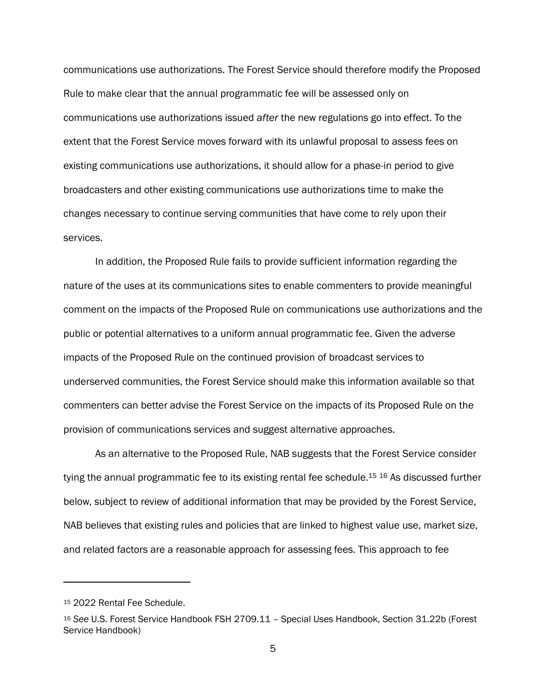communications use authorizations. The Forest Service should therefore modify the Proposed Rule to make clear that the annual programmatic fee will be assessed only on communications use authorizations issued *after* the new regulations go into effect. To the extent that the Forest Service moves forward with its unlawful proposal to assess fees on existing communications use authorizations, it should allow for a phase-in period to give broadcasters and other existing communications use authorizations time to make the changes necessary to continue serving communities that have come to rely upon their services.

In addition, the Proposed Rule fails to provide sufficient information regarding the nature of the uses at its communications sites to enable commenters to provide meaningful comment on the impacts of the Proposed Rule on communications use authorizations and the public or potential alternatives to a uniform annual programmatic fee. Given the adverse impacts of the Proposed Rule on the continued provision of broadcast services to underserved communities, the Forest Service should make this information available so that commenters can better advise the Forest Service on the impacts of its Proposed Rule on the provision of communications services and suggest alternative approaches.

As an alternative to the Proposed Rule, NAB suggests that the Forest Service consider tying the annual programmatic fee to its existing rental fee schedule.<sup>15 16</sup> As discussed further below, subject to review of additional information that may be provided by the Forest Service, NAB believes that existing rules and policies that are linked to highest value use, market size, and related factors are a reasonable approach for assessing fees. This approach to fee

<sup>15</sup> 2022 Rental Fee Schedule.

<sup>16</sup> *See* U.S. Forest Service Handbook FSH 2709.11 – Special Uses Handbook, Section 31.22b (Forest Service Handbook)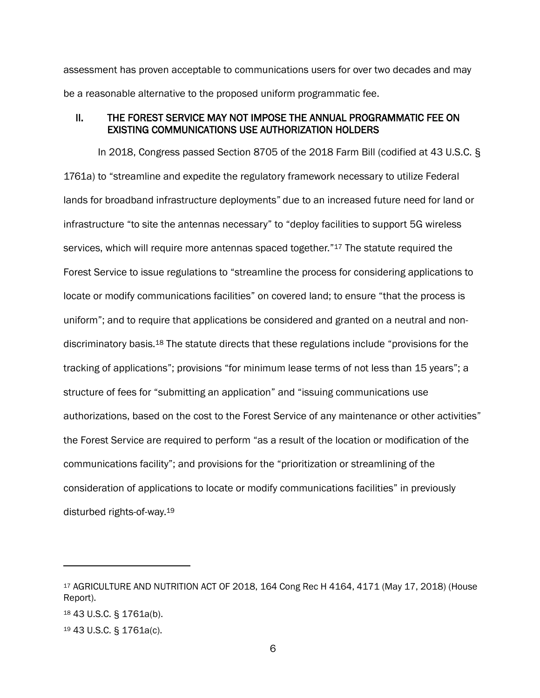assessment has proven acceptable to communications users for over two decades and may be a reasonable alternative to the proposed uniform programmatic fee.

#### II. THE FOREST SERVICE MAY NOT IMPOSE THE ANNUAL PROGRAMMATIC FEE ON EXISTING COMMUNICATIONS USE AUTHORIZATION HOLDERS

In 2018, Congress passed Section 8705 of the 2018 Farm Bill (codified at 43 U.S.C. § 1761a) to "streamline and expedite the regulatory framework necessary to utilize Federal lands for broadband infrastructure deployments" due to an increased future need for land or infrastructure "to site the antennas necessary" to "deploy facilities to support 5G wireless services, which will require more antennas spaced together."<sup>17</sup> The statute required the Forest Service to issue regulations to "streamline the process for considering applications to locate or modify communications facilities" on covered land; to ensure "that the process is uniform"; and to require that applications be considered and granted on a neutral and nondiscriminatory basis.<sup>18</sup> The statute directs that these regulations include "provisions for the tracking of applications"; provisions "for minimum lease terms of not less than 15 years"; a structure of fees for "submitting an application" and "issuing communications use authorizations, based on the cost to the Forest Service of any maintenance or other activities" the Forest Service are required to perform "as a result of the location or modification of the communications facility"; and provisions for the "prioritization or streamlining of the consideration of applications to locate or modify communications facilities" in previously disturbed rights-of-way.<sup>19</sup>

<sup>17</sup> AGRICULTURE AND NUTRITION ACT OF 2018, 164 Cong Rec H 4164, 4171 (May 17, 2018) (House Report).

<sup>18</sup> 43 U.S.C. § 1761a(b).

<sup>19</sup> 43 U.S.C. § 1761a(c).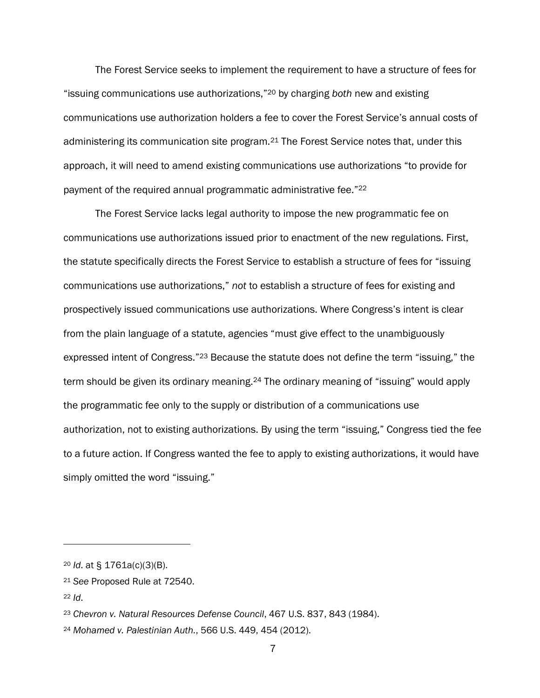The Forest Service seeks to implement the requirement to have a structure of fees for "issuing communications use authorizations,"<sup>20</sup> by charging *both* new and existing communications use authorization holders a fee to cover the Forest Service's annual costs of administering its communication site program.<sup>21</sup> The Forest Service notes that, under this approach, it will need to amend existing communications use authorizations "to provide for payment of the required annual programmatic administrative fee."<sup>22</sup>

The Forest Service lacks legal authority to impose the new programmatic fee on communications use authorizations issued prior to enactment of the new regulations. First, the statute specifically directs the Forest Service to establish a structure of fees for "issuing communications use authorizations," *not* to establish a structure of fees for existing and prospectively issued communications use authorizations. Where Congress's intent is clear from the plain language of a statute, agencies "must give effect to the unambiguously expressed intent of Congress."<sup>23</sup> Because the statute does not define the term "issuing," the term should be given its ordinary meaning.<sup>24</sup> The ordinary meaning of "issuing" would apply the programmatic fee only to the supply or distribution of a communications use authorization, not to existing authorizations. By using the term "issuing," Congress tied the fee to a future action. If Congress wanted the fee to apply to existing authorizations, it would have simply omitted the word "issuing."

<sup>22</sup> *Id*.

<sup>20</sup> *Id*. at § 1761a(c)(3)(B).

<sup>21</sup> *See* Proposed Rule at 72540.

<sup>23</sup> *Chevron v. Natural Resources Defense Council*, 467 U.S. 837, 843 (1984).

<sup>24</sup> *Mohamed v. Palestinian Auth.*, 566 U.S. 449, 454 (2012).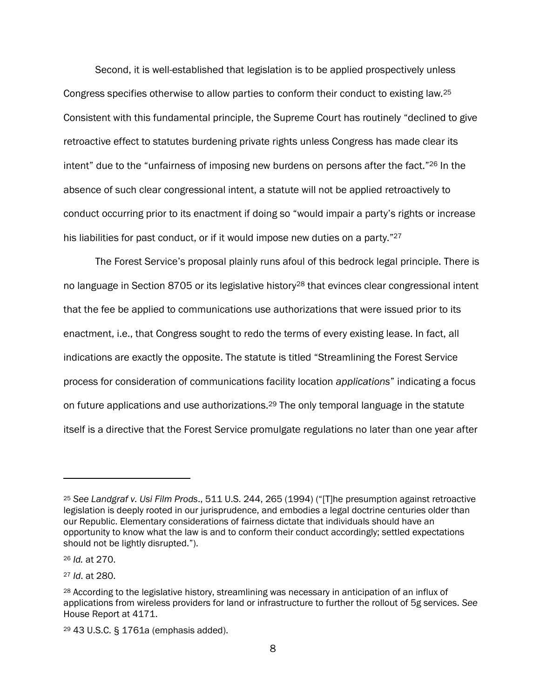Second, it is well-established that legislation is to be applied prospectively unless Congress specifies otherwise to allow parties to conform their conduct to existing law.<sup>25</sup> Consistent with this fundamental principle, the Supreme Court has routinely "declined to give retroactive effect to statutes burdening private rights unless Congress has made clear its intent" due to the "unfairness of imposing new burdens on persons after the fact."<sup>26</sup> In the absence of such clear congressional intent, a statute will not be applied retroactively to conduct occurring prior to its enactment if doing so "would impair a party's rights or increase his liabilities for past conduct, or if it would impose new duties on a party."<sup>27</sup>

The Forest Service's proposal plainly runs afoul of this bedrock legal principle. There is no language in Section 8705 or its legislative history<sup>28</sup> that evinces clear congressional intent that the fee be applied to communications use authorizations that were issued prior to its enactment, i.e., that Congress sought to redo the terms of every existing lease. In fact, all indications are exactly the opposite. The statute is titled "Streamlining the Forest Service process for consideration of communications facility location *applications*" indicating a focus on future applications and use authorizations.<sup>29</sup> The only temporal language in the statute itself is a directive that the Forest Service promulgate regulations no later than one year after

<sup>26</sup> *Id.* at 270.

<sup>27</sup> *Id*. at 280.

<sup>25</sup> *See Landgraf v. Usi Film Prods*., 511 U.S. 244, 265 (1994) ("[T]he presumption against retroactive legislation is deeply rooted in our jurisprudence, and embodies a legal doctrine centuries older than our Republic. Elementary considerations of fairness dictate that individuals should have an opportunity to know what the law is and to conform their conduct accordingly; settled expectations should not be lightly disrupted.").

<sup>28</sup> According to the legislative history, streamlining was necessary in anticipation of an influx of applications from wireless providers for land or infrastructure to further the rollout of 5g services. *See*  House Report at 4171.

<sup>29</sup> 43 U.S.C. § 1761a (emphasis added).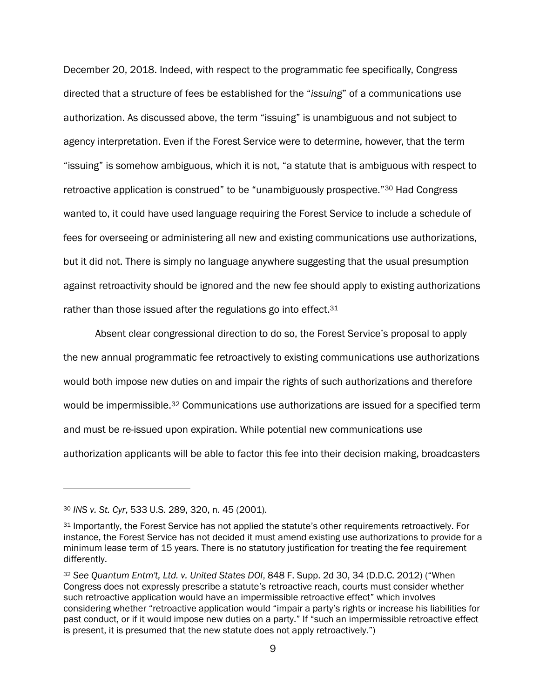December 20, 2018. Indeed, with respect to the programmatic fee specifically, Congress directed that a structure of fees be established for the "*issuing*" of a communications use authorization. As discussed above, the term "issuing" is unambiguous and not subject to agency interpretation. Even if the Forest Service were to determine, however, that the term "issuing" is somehow ambiguous, which it is not, "a statute that is ambiguous with respect to retroactive application is construed" to be "unambiguously prospective."<sup>30</sup> Had Congress wanted to, it could have used language requiring the Forest Service to include a schedule of fees for overseeing or administering all new and existing communications use authorizations, but it did not. There is simply no language anywhere suggesting that the usual presumption against retroactivity should be ignored and the new fee should apply to existing authorizations rather than those issued after the regulations go into effect.<sup>31</sup>

Absent clear congressional direction to do so, the Forest Service's proposal to apply the new annual programmatic fee retroactively to existing communications use authorizations would both impose new duties on and impair the rights of such authorizations and therefore would be impermissible.<sup>32</sup> Communications use authorizations are issued for a specified term and must be re-issued upon expiration. While potential new communications use authorization applicants will be able to factor this fee into their decision making, broadcasters

<sup>30</sup> *INS v. St. Cyr*, 533 U.S. 289, 320, n. 45 (2001).

<sup>31</sup> Importantly, the Forest Service has not applied the statute's other requirements retroactively. For instance, the Forest Service has not decided it must amend existing use authorizations to provide for a minimum lease term of 15 years. There is no statutory justification for treating the fee requirement differently.

<sup>32</sup> *See Quantum Entm't, Ltd. v. United States DOI*, 848 F. Supp. 2d 30, 34 (D.D.C. 2012) ("When Congress does not expressly prescribe a statute's retroactive reach, courts must consider whether such retroactive application would have an impermissible retroactive effect" which involves considering whether "retroactive application would "impair a party's rights or increase his liabilities for past conduct, or if it would impose new duties on a party." If "such an impermissible retroactive effect is present, it is presumed that the new statute does not apply retroactively.")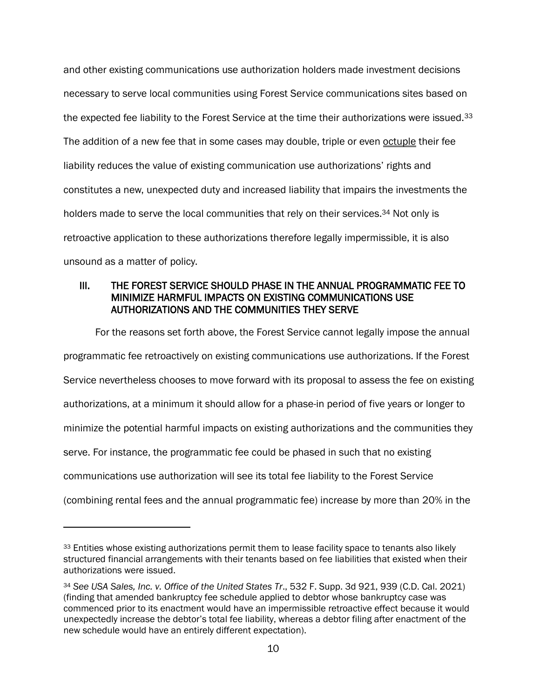and other existing communications use authorization holders made investment decisions necessary to serve local communities using Forest Service communications sites based on the expected fee liability to the Forest Service at the time their authorizations were issued.<sup>33</sup> The addition of a new fee that in some cases may double, triple or even octuple their fee liability reduces the value of existing communication use authorizations' rights and constitutes a new, unexpected duty and increased liability that impairs the investments the holders made to serve the local communities that rely on their services.<sup>34</sup> Not only is retroactive application to these authorizations therefore legally impermissible, it is also unsound as a matter of policy.

# III. THE FOREST SERVICE SHOULD PHASE IN THE ANNUAL PROGRAMMATIC FEE TO MINIMIZE HARMFUL IMPACTS ON EXISTING COMMUNICATIONS USE AUTHORIZATIONS AND THE COMMUNITIES THEY SERVE

For the reasons set forth above, the Forest Service cannot legally impose the annual programmatic fee retroactively on existing communications use authorizations. If the Forest Service nevertheless chooses to move forward with its proposal to assess the fee on existing authorizations, at a minimum it should allow for a phase-in period of five years or longer to minimize the potential harmful impacts on existing authorizations and the communities they serve. For instance, the programmatic fee could be phased in such that no existing communications use authorization will see its total fee liability to the Forest Service

<sup>(</sup>combining rental fees and the annual programmatic fee) increase by more than 20% in the

<sup>33</sup> Entities whose existing authorizations permit them to lease facility space to tenants also likely structured financial arrangements with their tenants based on fee liabilities that existed when their authorizations were issued.

<sup>34</sup> *See USA Sales, Inc. v. Office of the United States Tr*., 532 F. Supp. 3d 921, 939 (C.D. Cal. 2021) (finding that amended bankruptcy fee schedule applied to debtor whose bankruptcy case was commenced prior to its enactment would have an impermissible retroactive effect because it would unexpectedly increase the debtor's total fee liability, whereas a debtor filing after enactment of the new schedule would have an entirely different expectation).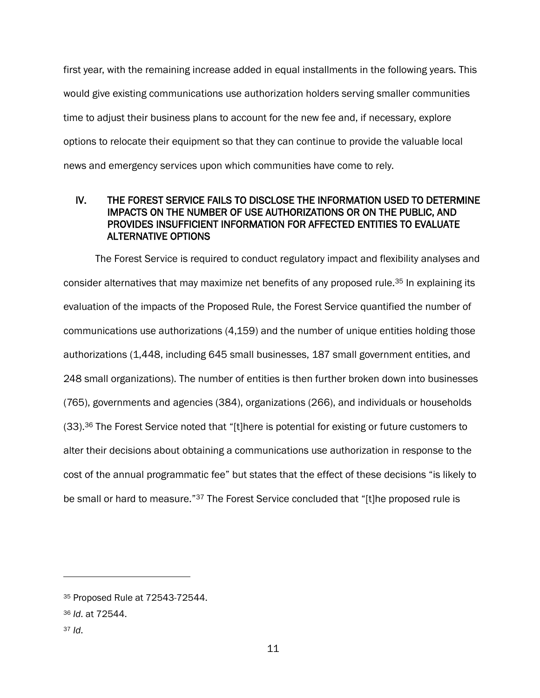first year, with the remaining increase added in equal installments in the following years. This would give existing communications use authorization holders serving smaller communities time to adjust their business plans to account for the new fee and, if necessary, explore options to relocate their equipment so that they can continue to provide the valuable local news and emergency services upon which communities have come to rely.

# IV. THE FOREST SERVICE FAILS TO DISCLOSE THE INFORMATION USED TO DETERMINE IMPACTS ON THE NUMBER OF USE AUTHORIZATIONS OR ON THE PUBLIC, AND PROVIDES INSUFFICIENT INFORMATION FOR AFFECTED ENTITIES TO EVALUATE ALTERNATIVE OPTIONS

The Forest Service is required to conduct regulatory impact and flexibility analyses and consider alternatives that may maximize net benefits of any proposed rule.<sup>35</sup> In explaining its evaluation of the impacts of the Proposed Rule, the Forest Service quantified the number of communications use authorizations (4,159) and the number of unique entities holding those authorizations (1,448, including 645 small businesses, 187 small government entities, and 248 small organizations). The number of entities is then further broken down into businesses (765), governments and agencies (384), organizations (266), and individuals or households (33).<sup>36</sup> The Forest Service noted that "[t]here is potential for existing or future customers to alter their decisions about obtaining a communications use authorization in response to the cost of the annual programmatic fee" but states that the effect of these decisions "is likely to be small or hard to measure."<sup>37</sup> The Forest Service concluded that "[t]he proposed rule is

<sup>37</sup> *Id*.

<sup>35</sup> Proposed Rule at 72543-72544.

<sup>36</sup> *Id*. at 72544.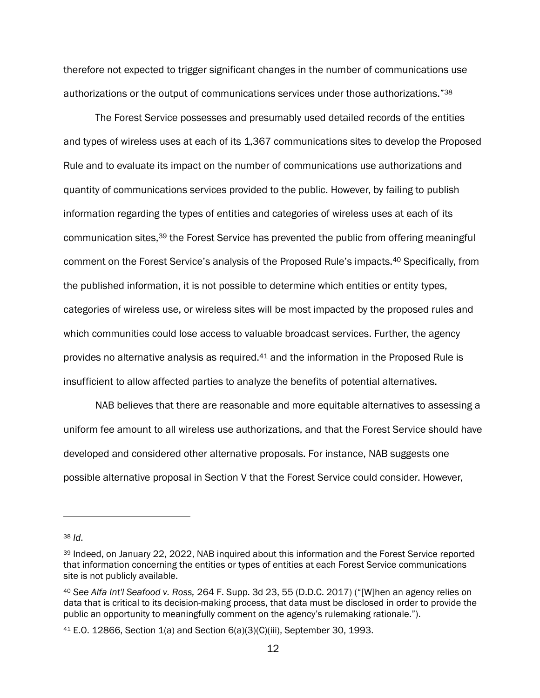therefore not expected to trigger significant changes in the number of communications use authorizations or the output of communications services under those authorizations."<sup>38</sup>

The Forest Service possesses and presumably used detailed records of the entities and types of wireless uses at each of its 1,367 communications sites to develop the Proposed Rule and to evaluate its impact on the number of communications use authorizations and quantity of communications services provided to the public. However, by failing to publish information regarding the types of entities and categories of wireless uses at each of its communication sites,<sup>39</sup> the Forest Service has prevented the public from offering meaningful comment on the Forest Service's analysis of the Proposed Rule's impacts.<sup>40</sup> Specifically, from the published information, it is not possible to determine which entities or entity types, categories of wireless use, or wireless sites will be most impacted by the proposed rules and which communities could lose access to valuable broadcast services. Further, the agency provides no alternative analysis as required.<sup>41</sup> and the information in the Proposed Rule is insufficient to allow affected parties to analyze the benefits of potential alternatives.

NAB believes that there are reasonable and more equitable alternatives to assessing a uniform fee amount to all wireless use authorizations, and that the Forest Service should have developed and considered other alternative proposals. For instance, NAB suggests one possible alternative proposal in Section V that the Forest Service could consider. However,

<sup>38</sup> *Id*.

<sup>39</sup> Indeed, on January 22, 2022, NAB inquired about this information and the Forest Service reported that information concerning the entities or types of entities at each Forest Service communications site is not publicly available.

<sup>40</sup> *See Alfa Int'l Seafood v. Ross,* 264 F. Supp. 3d 23, 55 (D.D.C. 2017) ("[W]hen an agency relies on data that is critical to its decision-making process, that data must be disclosed in order to provide the public an opportunity to meaningfully comment on the agency's rulemaking rationale.").

<sup>41</sup> E.O. 12866, Section 1(a) and Section 6(a)(3)(C)(iii), September 30, 1993.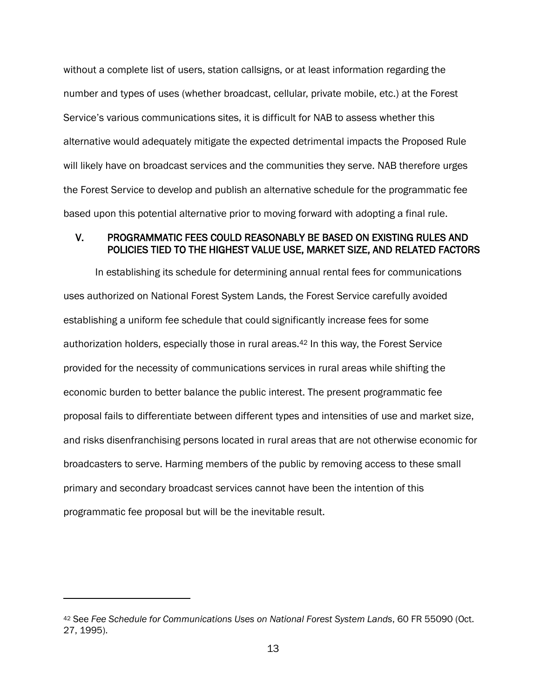without a complete list of users, station callsigns, or at least information regarding the number and types of uses (whether broadcast, cellular, private mobile, etc.) at the Forest Service's various communications sites, it is difficult for NAB to assess whether this alternative would adequately mitigate the expected detrimental impacts the Proposed Rule will likely have on broadcast services and the communities they serve. NAB therefore urges the Forest Service to develop and publish an alternative schedule for the programmatic fee based upon this potential alternative prior to moving forward with adopting a final rule.

## V. PROGRAMMATIC FEES COULD REASONABLY BE BASED ON EXISTING RULES AND POLICIES TIED TO THE HIGHEST VALUE USE, MARKET SIZE, AND RELATED FACTORS

In establishing its schedule for determining annual rental fees for communications uses authorized on National Forest System Lands, the Forest Service carefully avoided establishing a uniform fee schedule that could significantly increase fees for some authorization holders, especially those in rural areas.<sup>42</sup> In this way, the Forest Service provided for the necessity of communications services in rural areas while shifting the economic burden to better balance the public interest. The present programmatic fee proposal fails to differentiate between different types and intensities of use and market size, and risks disenfranchising persons located in rural areas that are not otherwise economic for broadcasters to serve. Harming members of the public by removing access to these small primary and secondary broadcast services cannot have been the intention of this programmatic fee proposal but will be the inevitable result.

<sup>42</sup> See *Fee Schedule for Communications Uses on National Forest System Lands*, 60 FR 55090 (Oct. 27, 1995).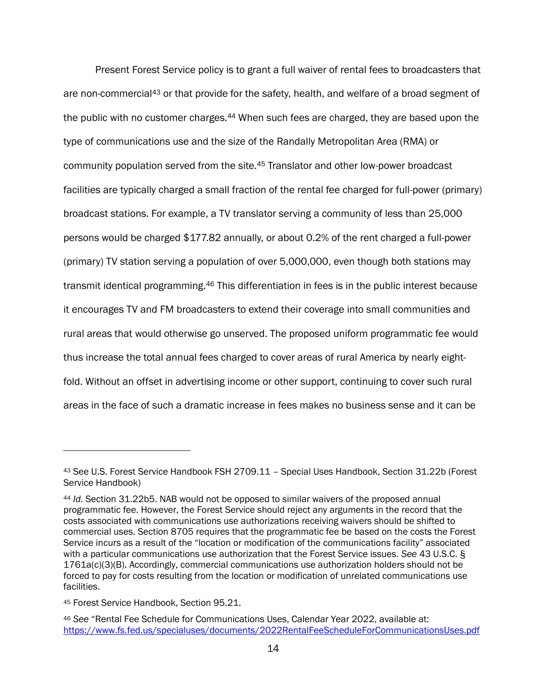Present Forest Service policy is to grant a full waiver of rental fees to broadcasters that are non-commercial<sup>43</sup> or that provide for the safety, health, and welfare of a broad segment of the public with no customer charges.<sup>44</sup> When such fees are charged, they are based upon the type of communications use and the size of the Randally Metropolitan Area (RMA) or community population served from the site.<sup>45</sup> Translator and other low-power broadcast facilities are typically charged a small fraction of the rental fee charged for full-power (primary) broadcast stations. For example, a TV translator serving a community of less than 25,000 persons would be charged \$177.82 annually, or about 0.2% of the rent charged a full-power (primary) TV station serving a population of over 5,000,000, even though both stations may transmit identical programming.<sup>46</sup> This differentiation in fees is in the public interest because it encourages TV and FM broadcasters to extend their coverage into small communities and rural areas that would otherwise go unserved. The proposed uniform programmatic fee would thus increase the total annual fees charged to cover areas of rural America by nearly eightfold. Without an offset in advertising income or other support, continuing to cover such rural areas in the face of such a dramatic increase in fees makes no business sense and it can be

<sup>43</sup> See U.S. Forest Service Handbook FSH 2709.11 – Special Uses Handbook, Section 31.22b (Forest Service Handbook)

<sup>44</sup> *Id*. Section 31.22b5. NAB would not be opposed to similar waivers of the proposed annual programmatic fee. However, the Forest Service should reject any arguments in the record that the costs associated with communications use authorizations receiving waivers should be shifted to commercial uses. Section 8705 requires that the programmatic fee be based on the costs the Forest Service incurs as a result of the "location or modification of the communications facility" associated with a particular communications use authorization that the Forest Service issues. *See* 43 U.S.C. § 1761a(c)(3)(B). Accordingly, commercial communications use authorization holders should not be forced to pay for costs resulting from the location or modification of unrelated communications use facilities.

<sup>45</sup> Forest Service Handbook, Section 95.21.

<sup>46</sup> *See* "Rental Fee Schedule for Communications Uses, Calendar Year 2022, available at: <https://www.fs.fed.us/specialuses/documents/2022RentalFeeScheduleForCommunicationsUses.pdf>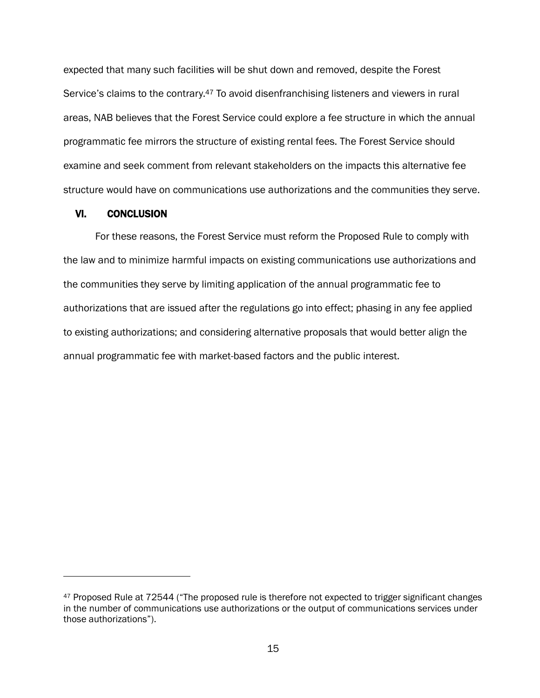expected that many such facilities will be shut down and removed, despite the Forest Service's claims to the contrary.<sup>47</sup> To avoid disenfranchising listeners and viewers in rural areas, NAB believes that the Forest Service could explore a fee structure in which the annual programmatic fee mirrors the structure of existing rental fees. The Forest Service should examine and seek comment from relevant stakeholders on the impacts this alternative fee structure would have on communications use authorizations and the communities they serve.

#### VI. CONCLUSION

For these reasons, the Forest Service must reform the Proposed Rule to comply with the law and to minimize harmful impacts on existing communications use authorizations and the communities they serve by limiting application of the annual programmatic fee to authorizations that are issued after the regulations go into effect; phasing in any fee applied to existing authorizations; and considering alternative proposals that would better align the annual programmatic fee with market-based factors and the public interest.

<sup>47</sup> Proposed Rule at 72544 ("The proposed rule is therefore not expected to trigger significant changes in the number of communications use authorizations or the output of communications services under those authorizations").